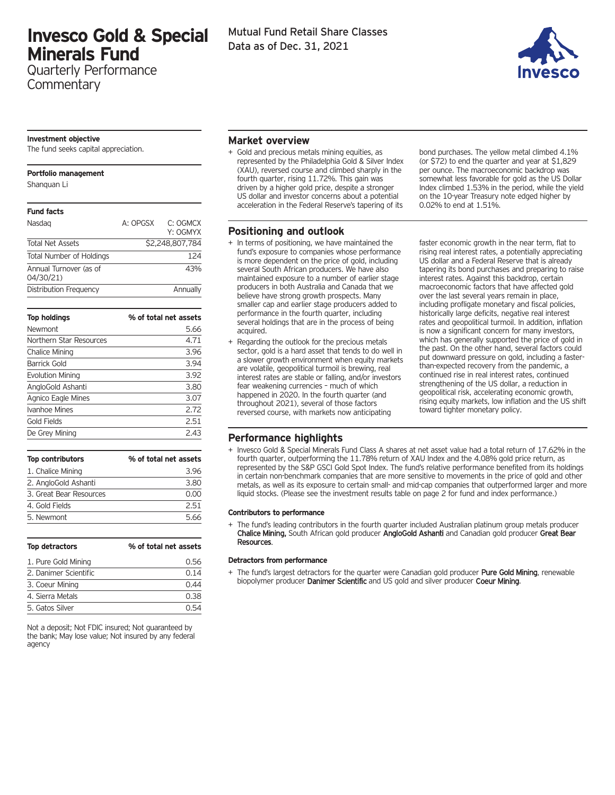# **Invesco Gold & Special Minerals Fund**

Quarterly Performance **Commentary** 

#### **Investment objective**

The fund seeks capital appreciation.

#### **Portfolio management**

Shanquan Li

| <b>Fund facts</b>                   |          |                      |
|-------------------------------------|----------|----------------------|
| Nasdag                              | A: OPGSX | C: OGMCX<br>Y: OGMYX |
| <b>Total Net Assets</b>             |          | \$2,248,807,784      |
| <b>Total Number of Holdings</b>     |          | 124                  |
| Annual Turnover (as of<br>04/30/21) |          | 43%                  |
| Distribution Frequency              |          | Annually             |

| % of total net assets |
|-----------------------|
| 5.66                  |
| 4.71                  |
| 3.96                  |
| 3.94                  |
| 3.92                  |
| 3.80                  |
| 3.07                  |
| 2.72                  |
| 2.51                  |
| 2.43                  |
|                       |

| <b>Top contributors</b> | % of total net assets |
|-------------------------|-----------------------|
| 1. Chalice Mining       | 3.96                  |
| 2. AngloGold Ashanti    | 3.80                  |
| 3. Great Bear Resources | 0.00                  |
| 4. Gold Fields          | 251                   |
| 5. Newmont              | 5.66                  |

| Top detractors        | % of total net assets |
|-----------------------|-----------------------|
| 1. Pure Gold Mining   | 0.56                  |
| 2. Danimer Scientific | 0.14                  |
| 3. Coeur Mining       | 0.44                  |
| 4. Sierra Metals      | 0.38                  |
| 5. Gatos Silver       | 051                   |

Not a deposit; Not FDIC insured; Not guaranteed by the bank; May lose value; Not insured by any federal agency



## **Market overview**

+ Gold and precious metals mining equities, as represented by the Philadelphia Gold & Silver Index (XAU), reversed course and climbed sharply in the fourth quarter, rising 11.72%. This gain was driven by a higher gold price, despite a stronger US dollar and investor concerns about a potential acceleration in the Federal Reserve's tapering of its

## **Positioning and outlook**

- + In terms of positioning, we have maintained the fund's exposure to companies whose performance is more dependent on the price of gold, including several South African producers. We have also maintained exposure to a number of earlier stage producers in both Australia and Canada that we believe have strong growth prospects. Many smaller cap and earlier stage producers added to performance in the fourth quarter, including several holdings that are in the process of being acquired.
- + Regarding the outlook for the precious metals sector, gold is a hard asset that tends to do well in a slower growth environment when equity markets are volatile, geopolitical turmoil is brewing, real interest rates are stable or falling, and/or investors fear weakening currencies – much of which happened in 2020. In the fourth quarter (and throughout 2021), several of those factors reversed course, with markets now anticipating

bond purchases. The yellow metal climbed 4.1% (or \$72) to end the quarter and year at \$1,829 per ounce. The macroeconomic backdrop was somewhat less favorable for gold as the US Dollar Index climbed 1.53% in the period, while the yield on the 10-year Treasury note edged higher by 0.02% to end at 1.51%.

faster economic growth in the near term, flat to rising real interest rates, a potentially appreciating US dollar and a Federal Reserve that is already tapering its bond purchases and preparing to raise interest rates. Against this backdrop, certain macroeconomic factors that have affected gold over the last several years remain in place, including profligate monetary and fiscal policies, historically large deficits, negative real interest rates and geopolitical turmoil. In addition, inflation is now a significant concern for many investors, which has generally supported the price of gold in the past. On the other hand, several factors could put downward pressure on gold, including a fasterthan-expected recovery from the pandemic, a continued rise in real interest rates, continued strengthening of the US dollar, a reduction in geopolitical risk, accelerating economic growth, rising equity markets, low inflation and the US shift toward tighter monetary policy.

## **Performance highlights**

+ Invesco Gold & Special Minerals Fund Class A shares at net asset value had a total return of 17.62% in the fourth quarter, outperforming the 11.78% return of XAU Index and the 4.08% gold price return, as represented by the S&P GSCI Gold Spot Index. The fund's relative performance benefited from its holdings in certain non-benchmark companies that are more sensitive to movements in the price of gold and other metals, as well as its exposure to certain small- and mid-cap companies that outperformed larger and more liquid stocks. (Please see the investment results table on page 2 for fund and index performance.)

#### **Contributors to performance**

The fund's leading contributors in the fourth quarter included Australian platinum group metals producer Chalice Mining, South African gold producer AngloGold Ashanti and Canadian gold producer Great Bear Resources.

#### **Detractors from performance**

The fund's largest detractors for the quarter were Canadian gold producer Pure Gold Mining, renewable biopolymer producer Danimer Scientific and US gold and silver producer Coeur Mining.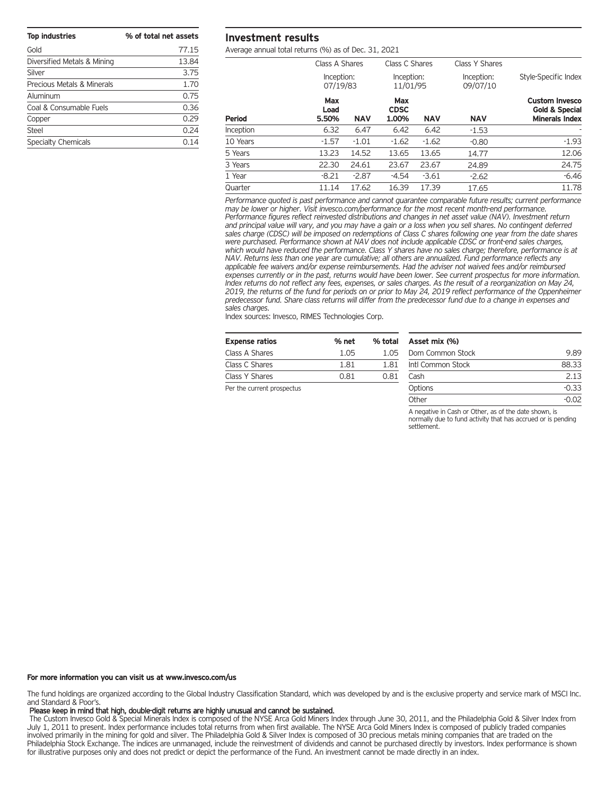| <b>Top industries</b>       | % of total net assets |
|-----------------------------|-----------------------|
| Gold                        | 77.15                 |
| Diversified Metals & Mining | 13.84                 |
| Silver                      | 3.75                  |
| Precious Metals & Minerals  | 1.70                  |
| Aluminum                    | 0.75                  |
| Coal & Consumable Fuels     | 0.36                  |
| Copper                      | 0.29                  |
| Steel                       | 0.24                  |
| <b>Specialty Chemicals</b>  | 0.14                  |

## **Investment results**

Average annual total returns (%) as of Dec. 31, 2021

|               | Class A Shares         |            | Class C Shares              |            | Class Y Shares         |                                                                             |
|---------------|------------------------|------------|-----------------------------|------------|------------------------|-----------------------------------------------------------------------------|
|               | Inception:<br>07/19/83 |            | Inception:<br>11/01/95      |            | Inception:<br>09/07/10 | Style-Specific Index                                                        |
| <b>Period</b> | Max<br>Load<br>5.50%   | <b>NAV</b> | Max<br><b>CDSC</b><br>1.00% | <b>NAV</b> | <b>NAV</b>             | <b>Custom Invesco</b><br><b>Gold &amp; Special</b><br><b>Minerals Index</b> |
| Inception     | 6.32                   | 6.47       | 6.42                        | 6.42       | $-1.53$                |                                                                             |
| 10 Years      | $-1.57$                | $-1.01$    | $-1.62$                     | $-1.62$    | $-0.80$                | $-1.93$                                                                     |
| 5 Years       | 13.23                  | 14.52      | 13.65                       | 13.65      | 14.77                  | 12.06                                                                       |
| 3 Years       | 22.30                  | 24.61      | 23.67                       | 23.67      | 24.89                  | 24.75                                                                       |
| 1 Year        | $-8.21$                | $-2.87$    | $-4.54$                     | $-3.61$    | $-2.62$                | $-6.46$                                                                     |
| Quarter       | 11.14                  | 17.62      | 16.39                       | 17.39      | 17.65                  | 11.78                                                                       |

*Performance quoted is past performance and cannot guarantee comparable future results; current performance may be lower or higher. Visit invesco.com/performance for the most recent month-end performance. Performance figures reflect reinvested distributions and changes in net asset value (NAV). Investment return* and principal value will vary, and you may have a gain or a loss when you sell shares. No contingent deferred sales charge (CDSC) will be imposed on redemptions of Class C shares following one year from the date shares *were purchased. Performance shown at NAV does not include applicable CDSC or front-end sales charges,* which would have reduced the performance. Class Y shares have no sales charge; therefore, performance is at *NAV. Returns less than one year are cumulative; all others are annualized. Fund performance reflects any applicable fee waivers and/or expense reimbursements. Had the adviser not waived fees and/or reimbursed* expenses currently or in the past, returns would have been lower. See current prospectus for more information. Index returns do not reflect any fees, expenses, or sales charges. As the result of a reorganization on May 24, 2019, the returns of the fund for periods on or prior to May 24, 2019 reflect performance of the Oppenheimer predecessor fund. Share class returns will differ from the predecessor fund due to a change in expenses and *sales charges.*

Index sources: Invesco, RIMES Technologies Corp.

| <b>Expense ratios</b> | % net | % total |
|-----------------------|-------|---------|
| Class A Shares        | 1.05  | 1.05    |
| Class C Shares        | 1.81  | 1 81    |
| Class Y Shares        | 0.81  | 0.81    |
|                       |       |         |

| Asset mix (%)     |         |
|-------------------|---------|
| Dom Common Stock  | 9.89    |
| Intl Common Stock | 88.33   |
| Cash              | 2 1 3   |
| Options           | $-0.33$ |
| <b>Other</b>      | -0.02   |

A negative in Cash or Other, as of the date shown, is normally due to fund activity that has accrued or is pending settlement.

Per the current prospectus

#### **For more information you can visit us at www.invesco.com/us**

The fund holdings are organized according to the Global Industry Classification Standard, which was developed by and is the exclusive property and service mark of MSCI Inc. and Standard & Poor's.

### Please keep in mind that high, double-digit returns are highly unusual and cannot be sustained.

The Custom Invesco Gold & Special Minerals Index is composed of the NYSE Arca Gold Miners Index through June 30, 2011, and the Philadelphia Gold & Silver Index from July 1, 2011 to present. Index performance includes total returns from when first available. The NYSE Arca Gold Miners Index is composed of publicly traded companies involved primarily in the mining for gold and silver. The Philadelphia Gold & Silver Index is composed of 30 precious metals mining companies that are traded on the Philadelphia Stock Exchange. The indices are unmanaged, include the reinvestment of dividends and cannot be purchased directly by investors. Index performance is shown for illustrative purposes only and does not predict or depict the performance of the Fund. An investment cannot be made directly in an index.